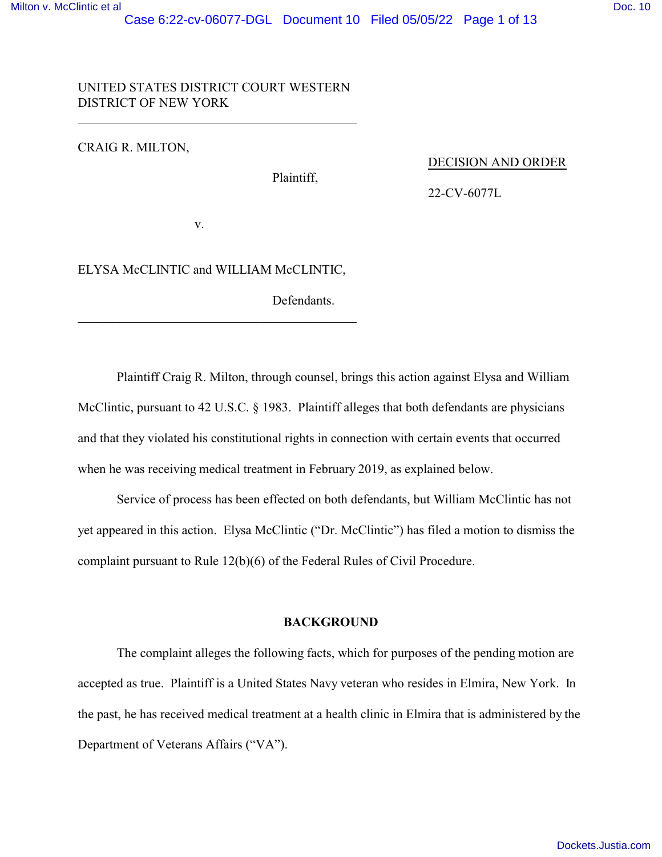# UNITED STATES DISTRICT COURT WESTERN DISTRICT OF NEW YORK

 $\overline{\phantom{a}}$  , and the set of the set of the set of the set of the set of the set of the set of the set of the set of the set of the set of the set of the set of the set of the set of the set of the set of the set of the s

CRAIG R. MILTON,

Plaintiff,

DECISION AND ORDER

22-CV-6077L

v.

# ELYSA McCLINTIC and WILLIAM McCLINTIC,

\_\_\_\_\_\_\_\_\_\_\_\_\_\_\_\_\_\_\_\_\_\_\_\_\_\_\_\_\_\_\_\_\_\_\_\_\_\_\_\_\_\_\_

Defendants.

Plaintiff Craig R. Milton, through counsel, brings this action against Elysa and William McClintic, pursuant to 42 U.S.C. § 1983. Plaintiff alleges that both defendants are physicians and that they violated his constitutional rights in connection with certain events that occurred when he was receiving medical treatment in February 2019, as explained below.

Service of process has been effected on both defendants, but William McClintic has not yet appeared in this action. Elysa McClintic ("Dr. McClintic") has filed a motion to dismiss the complaint pursuant to Rule 12(b)(6) of the Federal Rules of Civil Procedure.

# **BACKGROUND**

The complaint alleges the following facts, which for purposes of the pending motion are accepted as true. Plaintiff is a United States Navy veteran who resides in Elmira, New York. In the past, he has received medical treatment at a health clinic in Elmira that is administered by the Department of Veterans Affairs ("VA").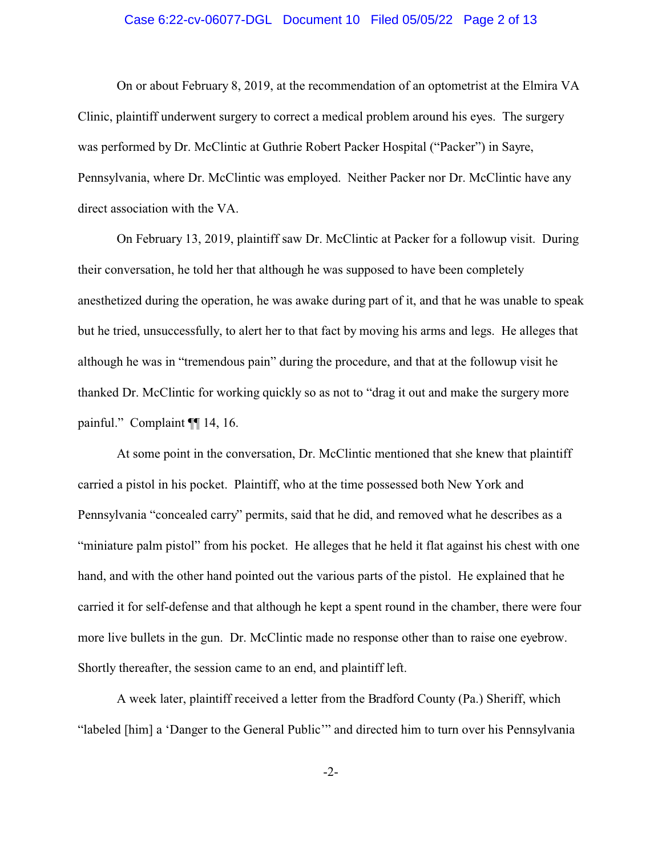## Case 6:22-cv-06077-DGL Document 10 Filed 05/05/22 Page 2 of 13

On or about February 8, 2019, at the recommendation of an optometrist at the Elmira VA Clinic, plaintiff underwent surgery to correct a medical problem around his eyes. The surgery was performed by Dr. McClintic at Guthrie Robert Packer Hospital ("Packer") in Sayre, Pennsylvania, where Dr. McClintic was employed. Neither Packer nor Dr. McClintic have any direct association with the VA.

On February 13, 2019, plaintiff saw Dr. McClintic at Packer for a followup visit. During their conversation, he told her that although he was supposed to have been completely anesthetized during the operation, he was awake during part of it, and that he was unable to speak but he tried, unsuccessfully, to alert her to that fact by moving his arms and legs. He alleges that although he was in "tremendous pain" during the procedure, and that at the followup visit he thanked Dr. McClintic for working quickly so as not to "drag it out and make the surgery more painful." Complaint ¶¶ 14, 16.

At some point in the conversation, Dr. McClintic mentioned that she knew that plaintiff carried a pistol in his pocket. Plaintiff, who at the time possessed both New York and Pennsylvania "concealed carry" permits, said that he did, and removed what he describes as a "miniature palm pistol" from his pocket. He alleges that he held it flat against his chest with one hand, and with the other hand pointed out the various parts of the pistol. He explained that he carried it for self-defense and that although he kept a spent round in the chamber, there were four more live bullets in the gun. Dr. McClintic made no response other than to raise one eyebrow. Shortly thereafter, the session came to an end, and plaintiff left.

A week later, plaintiff received a letter from the Bradford County (Pa.) Sheriff, which "labeled [him] a 'Danger to the General Public'" and directed him to turn over his Pennsylvania

-2-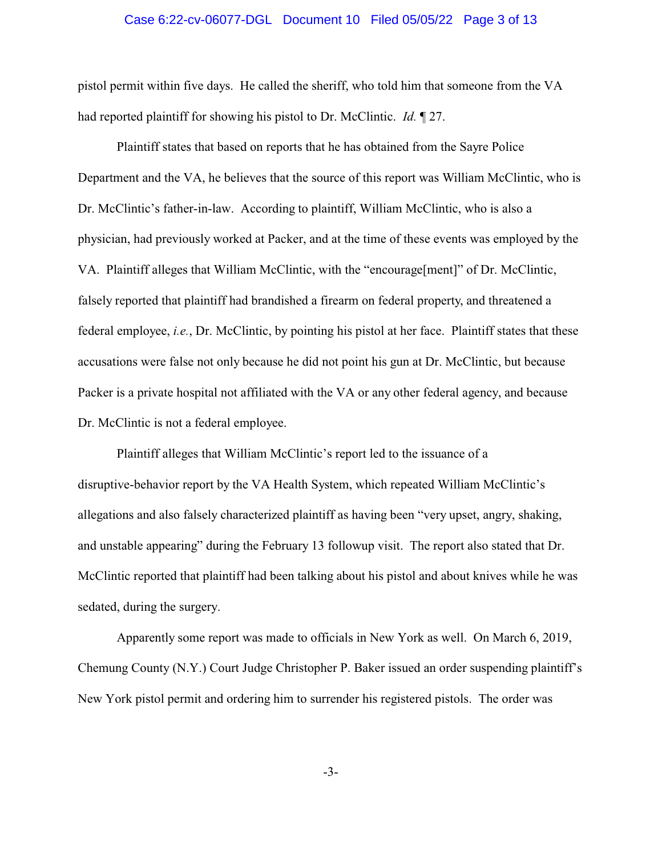#### Case 6:22-cv-06077-DGL Document 10 Filed 05/05/22 Page 3 of 13

pistol permit within five days. He called the sheriff, who told him that someone from the VA had reported plaintiff for showing his pistol to Dr. McClintic. *Id.* ¶ 27.

Plaintiff states that based on reports that he has obtained from the Sayre Police Department and the VA, he believes that the source of this report was William McClintic, who is Dr. McClintic's father-in-law. According to plaintiff, William McClintic, who is also a physician, had previously worked at Packer, and at the time of these events was employed by the VA. Plaintiff alleges that William McClintic, with the "encourage[ment]" of Dr. McClintic, falsely reported that plaintiff had brandished a firearm on federal property, and threatened a federal employee, *i.e.*, Dr. McClintic, by pointing his pistol at her face. Plaintiff states that these accusations were false not only because he did not point his gun at Dr. McClintic, but because Packer is a private hospital not affiliated with the VA or any other federal agency, and because Dr. McClintic is not a federal employee.

Plaintiff alleges that William McClintic's report led to the issuance of a disruptive-behavior report by the VA Health System, which repeated William McClintic's allegations and also falsely characterized plaintiff as having been "very upset, angry, shaking, and unstable appearing" during the February 13 followup visit. The report also stated that Dr. McClintic reported that plaintiff had been talking about his pistol and about knives while he was sedated, during the surgery.

Apparently some report was made to officials in New York as well. On March 6, 2019, Chemung County (N.Y.) Court Judge Christopher P. Baker issued an order suspending plaintiff's New York pistol permit and ordering him to surrender his registered pistols. The order was

-3-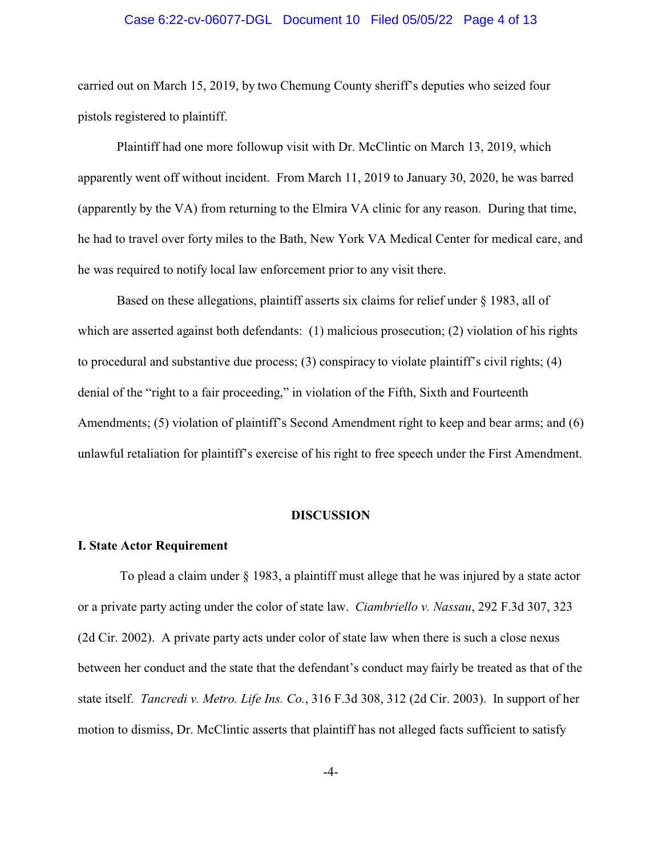## Case 6:22-cv-06077-DGL Document 10 Filed 05/05/22 Page 4 of 13

carried out on March 15, 2019, by two Chemung County sheriff's deputies who seized four pistols registered to plaintiff.

Plaintiff had one more followup visit with Dr. McClintic on March 13, 2019, which apparently went off without incident. From March 11, 2019 to January 30, 2020, he was barred (apparently by the VA) from returning to the Elmira VA clinic for any reason. During that time, he had to travel over forty miles to the Bath, New York VA Medical Center for medical care, and he was required to notify local law enforcement prior to any visit there.

Based on these allegations, plaintiff asserts six claims for relief under § 1983, all of which are asserted against both defendants: (1) malicious prosecution; (2) violation of his rights to procedural and substantive due process; (3) conspiracy to violate plaintiff's civil rights; (4) denial of the "right to a fair proceeding," in violation of the Fifth, Sixth and Fourteenth Amendments; (5) violation of plaintiff's Second Amendment right to keep and bear arms; and (6) unlawful retaliation for plaintiff's exercise of his right to free speech under the First Amendment.

#### **DISCUSSION**

#### **I. State Actor Requirement**

 To plead a claim under § 1983, a plaintiff must allege that he was injured by a state actor or a private party acting under the color of state law. *Ciambriello v. Nassau*, 292 F.3d 307, 323 (2d Cir. 2002). A private party acts under color of state law when there is such a close nexus between her conduct and the state that the defendant's conduct may fairly be treated as that of the state itself. *Tancredi v. Metro. Life Ins. Co.*, 316 F.3d 308, 312 (2d Cir. 2003). In support of her motion to dismiss, Dr. McClintic asserts that plaintiff has not alleged facts sufficient to satisfy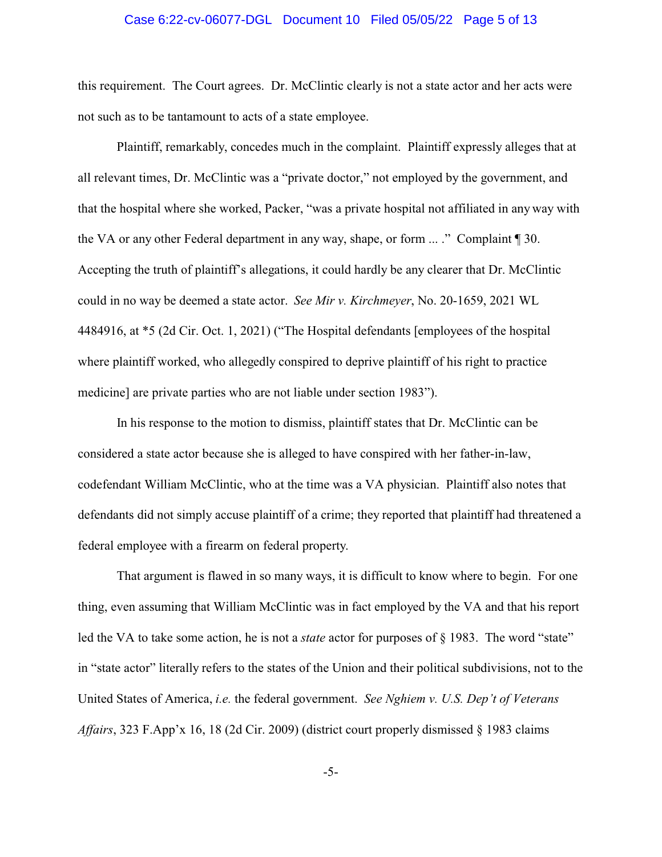#### Case 6:22-cv-06077-DGL Document 10 Filed 05/05/22 Page 5 of 13

this requirement. The Court agrees. Dr. McClintic clearly is not a state actor and her acts were not such as to be tantamount to acts of a state employee.

Plaintiff, remarkably, concedes much in the complaint. Plaintiff expressly alleges that at all relevant times, Dr. McClintic was a "private doctor," not employed by the government, and that the hospital where she worked, Packer, "was a private hospital not affiliated in any way with the VA or any other Federal department in any way, shape, or form ... ." Complaint ¶ 30. Accepting the truth of plaintiff's allegations, it could hardly be any clearer that Dr. McClintic could in no way be deemed a state actor. *See Mir v. Kirchmeyer*, No. 20-1659, 2021 WL 4484916, at \*5 (2d Cir. Oct. 1, 2021) ("The Hospital defendants [employees of the hospital where plaintiff worked, who allegedly conspired to deprive plaintiff of his right to practice medicine] are private parties who are not liable under section 1983").

In his response to the motion to dismiss, plaintiff states that Dr. McClintic can be considered a state actor because she is alleged to have conspired with her father-in-law, codefendant William McClintic, who at the time was a VA physician. Plaintiff also notes that defendants did not simply accuse plaintiff of a crime; they reported that plaintiff had threatened a federal employee with a firearm on federal property.

That argument is flawed in so many ways, it is difficult to know where to begin. For one thing, even assuming that William McClintic was in fact employed by the VA and that his report led the VA to take some action, he is not a *state* actor for purposes of § 1983. The word "state" in "state actor" literally refers to the states of the Union and their political subdivisions, not to the United States of America, *i.e.* the federal government. *See Nghiem v. U.S. Dep't of Veterans Affairs*, 323 F.App'x 16, 18 (2d Cir. 2009) (district court properly dismissed § 1983 claims

-5-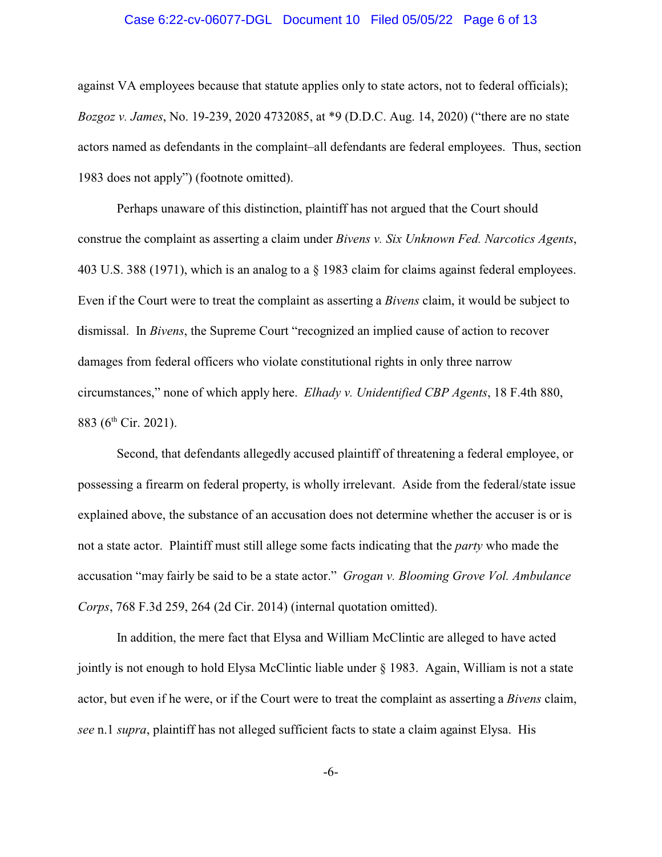#### Case 6:22-cv-06077-DGL Document 10 Filed 05/05/22 Page 6 of 13

against VA employees because that statute applies only to state actors, not to federal officials); *Bozgoz v. James*, No. 19-239, 2020 4732085, at \*9 (D.D.C. Aug. 14, 2020) ("there are no state actors named as defendants in the complaint–all defendants are federal employees. Thus, section 1983 does not apply") (footnote omitted).

Perhaps unaware of this distinction, plaintiff has not argued that the Court should construe the complaint as asserting a claim under *Bivens v. Six Unknown Fed. Narcotics Agents*, 403 U.S. 388 (1971), which is an analog to a § 1983 claim for claims against federal employees. Even if the Court were to treat the complaint as asserting a *Bivens* claim, it would be subject to dismissal. In *Bivens*, the Supreme Court "recognized an implied cause of action to recover damages from federal officers who violate constitutional rights in only three narrow circumstances," none of which apply here. *Elhady v. Unidentified CBP Agents*, 18 F.4th 880, 883 (6<sup>th</sup> Cir. 2021).

Second, that defendants allegedly accused plaintiff of threatening a federal employee, or possessing a firearm on federal property, is wholly irrelevant. Aside from the federal/state issue explained above, the substance of an accusation does not determine whether the accuser is or is not a state actor. Plaintiff must still allege some facts indicating that the *party* who made the accusation "may fairly be said to be a state actor." *Grogan v. Blooming Grove Vol. Ambulance Corps*, 768 F.3d 259, 264 (2d Cir. 2014) (internal quotation omitted).

In addition, the mere fact that Elysa and William McClintic are alleged to have acted jointly is not enough to hold Elysa McClintic liable under § 1983. Again, William is not a state actor, but even if he were, or if the Court were to treat the complaint as asserting a *Bivens* claim, *see* n.1 *supra*, plaintiff has not alleged sufficient facts to state a claim against Elysa. His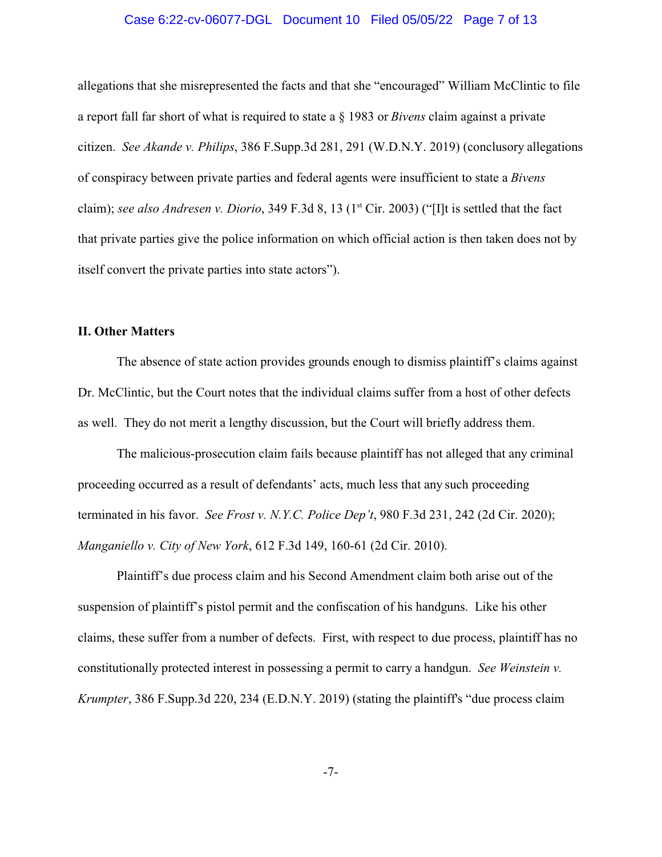## Case 6:22-cv-06077-DGL Document 10 Filed 05/05/22 Page 7 of 13

allegations that she misrepresented the facts and that she "encouraged" William McClintic to file a report fall far short of what is required to state a § 1983 or *Bivens* claim against a private citizen. *See Akande v. Philips*, 386 F.Supp.3d 281, 291 (W.D.N.Y. 2019) (conclusory allegations of conspiracy between private parties and federal agents were insufficient to state a *Bivens* claim); *see also Andresen v. Diorio*, 349 F.3d 8, 13 (1<sup>st</sup> Cir. 2003) ("[I]t is settled that the fact that private parties give the police information on which official action is then taken does not by itself convert the private parties into state actors").

## **II. Other Matters**

The absence of state action provides grounds enough to dismiss plaintiff's claims against Dr. McClintic, but the Court notes that the individual claims suffer from a host of other defects as well. They do not merit a lengthy discussion, but the Court will briefly address them.

The malicious-prosecution claim fails because plaintiff has not alleged that any criminal proceeding occurred as a result of defendants' acts, much less that any such proceeding terminated in his favor. *See Frost v. N.Y.C. Police Dep't*, 980 F.3d 231, 242 (2d Cir. 2020); *Manganiello v. City of New York*, 612 F.3d 149, 160-61 (2d Cir. 2010).

Plaintiff's due process claim and his Second Amendment claim both arise out of the suspension of plaintiff's pistol permit and the confiscation of his handguns. Like his other claims, these suffer from a number of defects. First, with respect to due process, plaintiff has no constitutionally protected interest in possessing a permit to carry a handgun. *See Weinstein v. Krumpter*, 386 F.Supp.3d 220, 234 (E.D.N.Y. 2019) (stating the plaintiff's "due process claim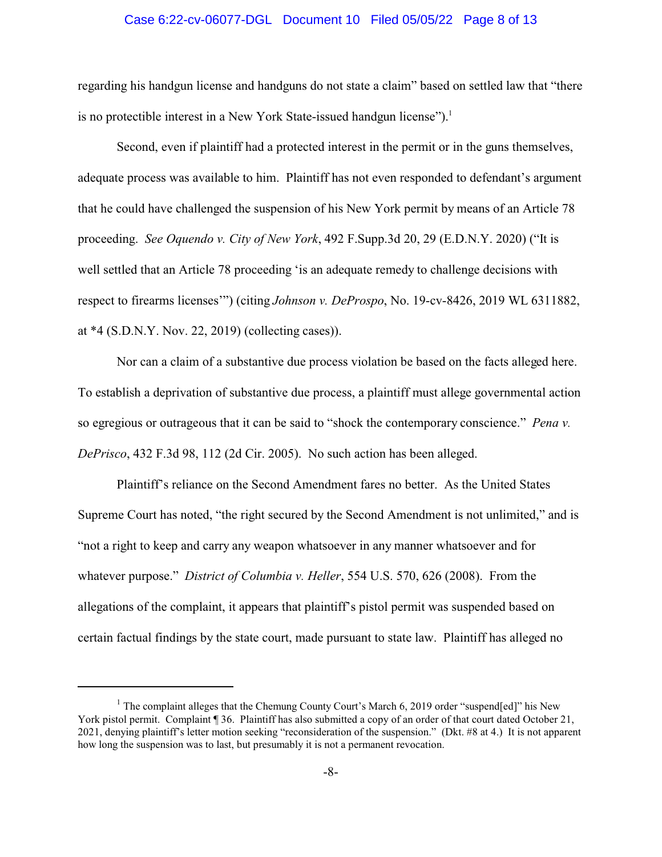## Case 6:22-cv-06077-DGL Document 10 Filed 05/05/22 Page 8 of 13

regarding his handgun license and handguns do not state a claim" based on settled law that "there is no protectible interest in a New York State-issued handgun license").<sup>1</sup>

Second, even if plaintiff had a protected interest in the permit or in the guns themselves, adequate process was available to him. Plaintiff has not even responded to defendant's argument that he could have challenged the suspension of his New York permit by means of an Article 78 proceeding. *See Oquendo v. City of New York*, 492 F.Supp.3d 20, 29 (E.D.N.Y. 2020) ("It is well settled that an Article 78 proceeding 'is an adequate remedy to challenge decisions with respect to firearms licenses'") (citing *Johnson v. DeProspo*, No. 19-cv-8426, 2019 WL 6311882, at \*4 (S.D.N.Y. Nov. 22, 2019) (collecting cases)).

Nor can a claim of a substantive due process violation be based on the facts alleged here. To establish a deprivation of substantive due process, a plaintiff must allege governmental action so egregious or outrageous that it can be said to "shock the contemporary conscience." *Pena v. DePrisco*, 432 F.3d 98, 112 (2d Cir. 2005). No such action has been alleged.

Plaintiff's reliance on the Second Amendment fares no better. As the United States Supreme Court has noted, "the right secured by the Second Amendment is not unlimited," and is "not a right to keep and carry any weapon whatsoever in any manner whatsoever and for whatever purpose." *District of Columbia v. Heller*, 554 U.S. 570, 626 (2008). From the allegations of the complaint, it appears that plaintiff's pistol permit was suspended based on certain factual findings by the state court, made pursuant to state law. Plaintiff has alleged no

<sup>&</sup>lt;sup>1</sup> The complaint alleges that the Chemung County Court's March 6, 2019 order "suspend[ed]" his New York pistol permit. Complaint ¶ 36. Plaintiff has also submitted a copy of an order of that court dated October 21, 2021, denying plaintiff's letter motion seeking "reconsideration of the suspension." (Dkt. #8 at 4.) It is not apparent how long the suspension was to last, but presumably it is not a permanent revocation.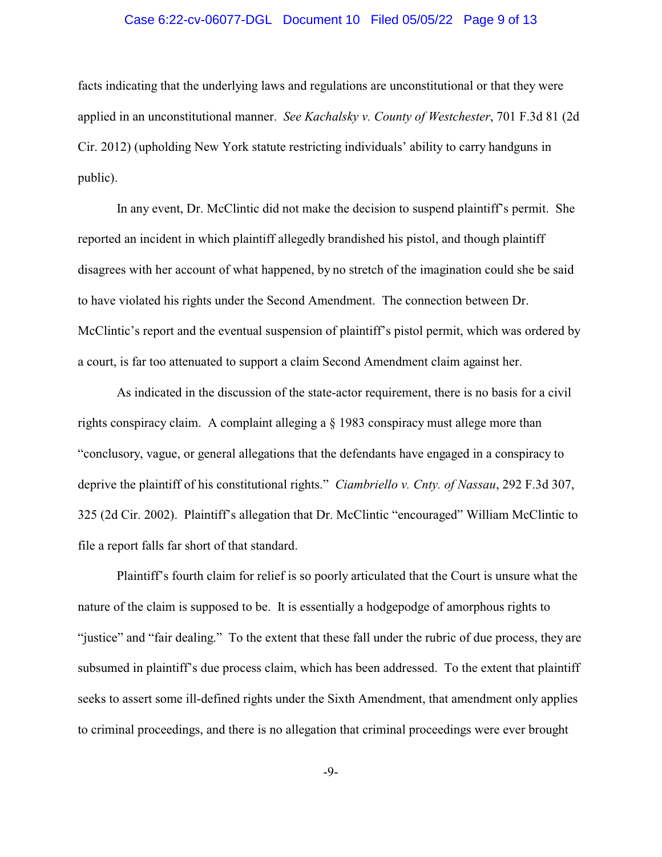## Case 6:22-cv-06077-DGL Document 10 Filed 05/05/22 Page 9 of 13

facts indicating that the underlying laws and regulations are unconstitutional or that they were applied in an unconstitutional manner. *See Kachalsky v. County of Westchester*, 701 F.3d 81 (2d Cir. 2012) (upholding New York statute restricting individuals' ability to carry handguns in public).

In any event, Dr. McClintic did not make the decision to suspend plaintiff's permit. She reported an incident in which plaintiff allegedly brandished his pistol, and though plaintiff disagrees with her account of what happened, by no stretch of the imagination could she be said to have violated his rights under the Second Amendment. The connection between Dr. McClintic's report and the eventual suspension of plaintiff's pistol permit, which was ordered by a court, is far too attenuated to support a claim Second Amendment claim against her.

As indicated in the discussion of the state-actor requirement, there is no basis for a civil rights conspiracy claim. A complaint alleging a § 1983 conspiracy must allege more than "conclusory, vague, or general allegations that the defendants have engaged in a conspiracy to deprive the plaintiff of his constitutional rights." *Ciambriello v. Cnty. of Nassau*, 292 F.3d 307, 325 (2d Cir. 2002). Plaintiff's allegation that Dr. McClintic "encouraged" William McClintic to file a report falls far short of that standard.

Plaintiff's fourth claim for relief is so poorly articulated that the Court is unsure what the nature of the claim is supposed to be. It is essentially a hodgepodge of amorphous rights to "justice" and "fair dealing." To the extent that these fall under the rubric of due process, they are subsumed in plaintiff's due process claim, which has been addressed. To the extent that plaintiff seeks to assert some ill-defined rights under the Sixth Amendment, that amendment only applies to criminal proceedings, and there is no allegation that criminal proceedings were ever brought

-9-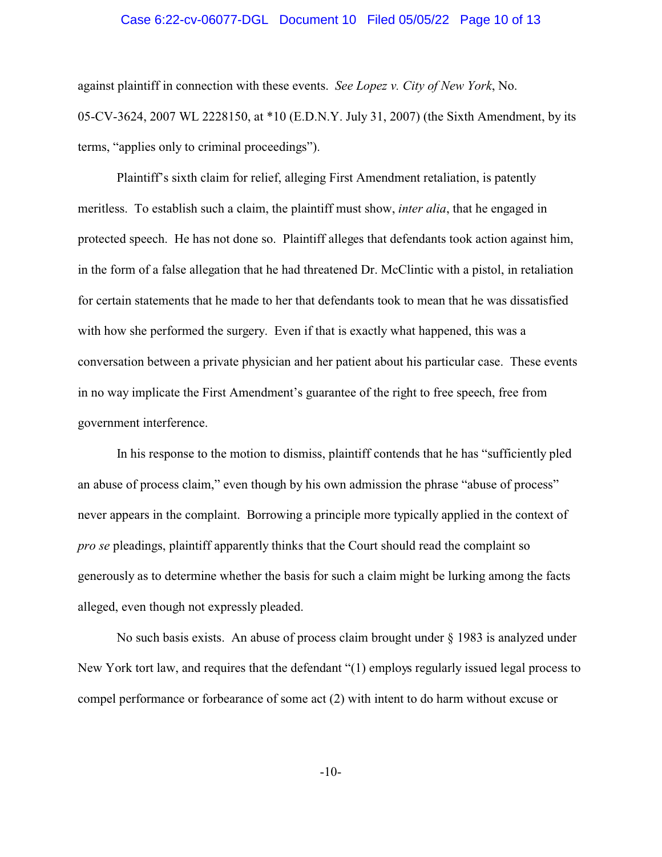## Case 6:22-cv-06077-DGL Document 10 Filed 05/05/22 Page 10 of 13

against plaintiff in connection with these events. *See Lopez v. City of New York*, No. 05-CV-3624, 2007 WL 2228150, at \*10 (E.D.N.Y. July 31, 2007) (the Sixth Amendment, by its terms, "applies only to criminal proceedings").

Plaintiff's sixth claim for relief, alleging First Amendment retaliation, is patently meritless. To establish such a claim, the plaintiff must show, *inter alia*, that he engaged in protected speech. He has not done so. Plaintiff alleges that defendants took action against him, in the form of a false allegation that he had threatened Dr. McClintic with a pistol, in retaliation for certain statements that he made to her that defendants took to mean that he was dissatisfied with how she performed the surgery. Even if that is exactly what happened, this was a conversation between a private physician and her patient about his particular case. These events in no way implicate the First Amendment's guarantee of the right to free speech, free from government interference.

In his response to the motion to dismiss, plaintiff contends that he has "sufficiently pled an abuse of process claim," even though by his own admission the phrase "abuse of process" never appears in the complaint. Borrowing a principle more typically applied in the context of *pro se* pleadings, plaintiff apparently thinks that the Court should read the complaint so generously as to determine whether the basis for such a claim might be lurking among the facts alleged, even though not expressly pleaded.

No such basis exists. An abuse of process claim brought under § 1983 is analyzed under New York tort law, and requires that the defendant "(1) employs regularly issued legal process to compel performance or forbearance of some act (2) with intent to do harm without excuse or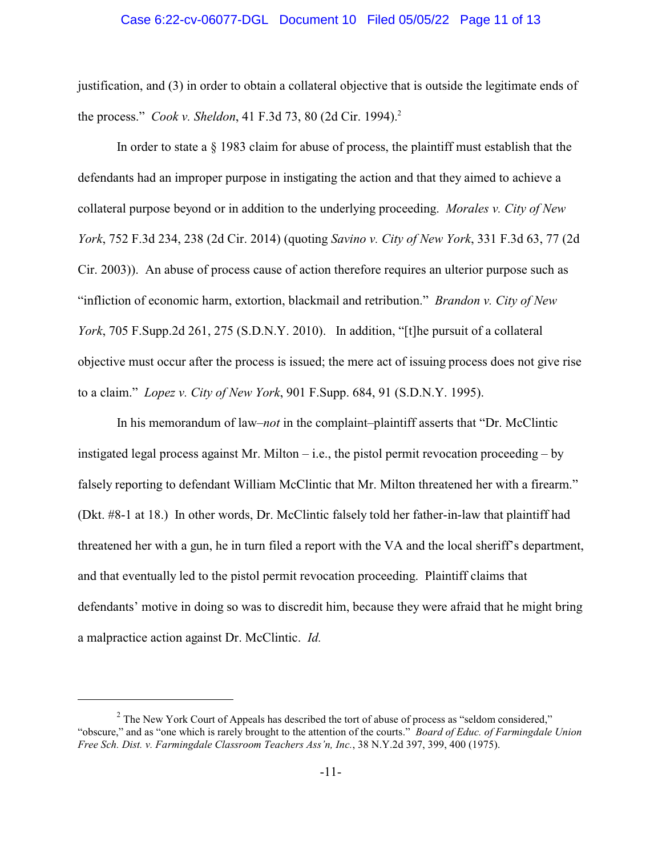#### Case 6:22-cv-06077-DGL Document 10 Filed 05/05/22 Page 11 of 13

justification, and (3) in order to obtain a collateral objective that is outside the legitimate ends of the process." *Cook v. Sheldon*, 41 F.3d 73, 80 (2d Cir. 1994).<sup>2</sup>

In order to state a § 1983 claim for abuse of process, the plaintiff must establish that the defendants had an improper purpose in instigating the action and that they aimed to achieve a collateral purpose beyond or in addition to the underlying proceeding. *Morales v. City of New York*, 752 F.3d 234, 238 (2d Cir. 2014) (quoting *Savino v. City of New York*, 331 F.3d 63, 77 (2d Cir. 2003)). An abuse of process cause of action therefore requires an ulterior purpose such as "infliction of economic harm, extortion, blackmail and retribution." *Brandon v. City of New York*, 705 F.Supp.2d 261, 275 (S.D.N.Y. 2010). In addition, "[t]he pursuit of a collateral objective must occur after the process is issued; the mere act of issuing process does not give rise to a claim." *Lopez v. City of New York*, 901 F.Supp. 684, 91 (S.D.N.Y. 1995).

In his memorandum of law–*not* in the complaint–plaintiff asserts that "Dr. McClintic instigated legal process against Mr. Milton  $-$  i.e., the pistol permit revocation proceeding  $-$  by falsely reporting to defendant William McClintic that Mr. Milton threatened her with a firearm." (Dkt. #8-1 at 18.) In other words, Dr. McClintic falsely told her father-in-law that plaintiff had threatened her with a gun, he in turn filed a report with the VA and the local sheriff's department, and that eventually led to the pistol permit revocation proceeding. Plaintiff claims that defendants' motive in doing so was to discredit him, because they were afraid that he might bring a malpractice action against Dr. McClintic. *Id.*

 $2^{2}$  The New York Court of Appeals has described the tort of abuse of process as "seldom considered," "obscure," and as "one which is rarely brought to the attention of the courts." *Board of Educ. of Farmingdale Union Free Sch. Dist. v. Farmingdale Classroom Teachers Ass'n, Inc.*, 38 N.Y.2d 397, 399, 400 (1975).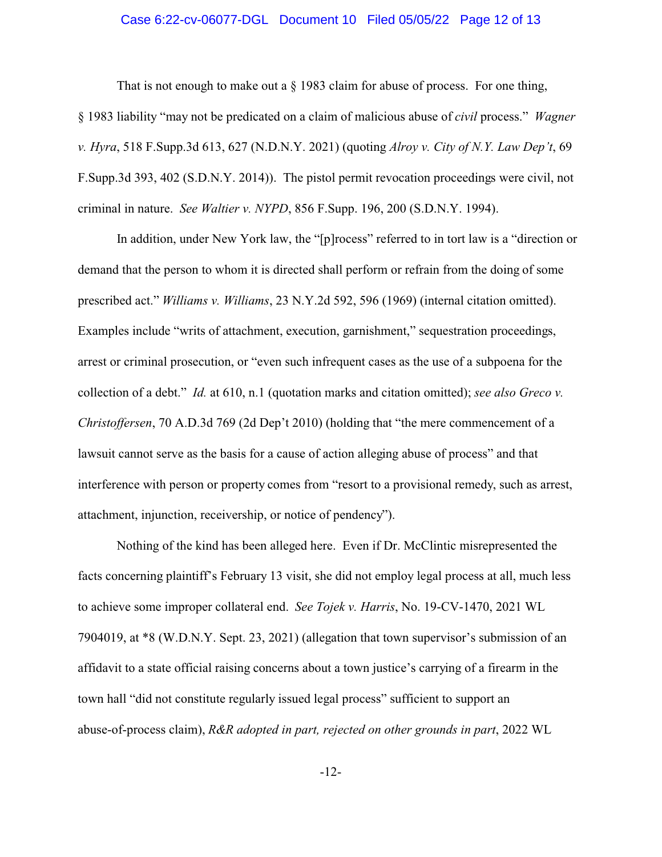## Case 6:22-cv-06077-DGL Document 10 Filed 05/05/22 Page 12 of 13

That is not enough to make out a  $\S$  1983 claim for abuse of process. For one thing,

§ 1983 liability "may not be predicated on a claim of malicious abuse of *civil* process." *Wagner v. Hyra*, 518 F.Supp.3d 613, 627 (N.D.N.Y. 2021) (quoting *Alroy v. City of N.Y. Law Dep't*, 69 F.Supp.3d 393, 402 (S.D.N.Y. 2014)). The pistol permit revocation proceedings were civil, not criminal in nature. *See Waltier v. NYPD*, 856 F.Supp. 196, 200 (S.D.N.Y. 1994).

In addition, under New York law, the "[p]rocess" referred to in tort law is a "direction or demand that the person to whom it is directed shall perform or refrain from the doing of some prescribed act." *Williams v. Williams*, 23 N.Y.2d 592, 596 (1969) (internal citation omitted). Examples include "writs of attachment, execution, garnishment," sequestration proceedings, arrest or criminal prosecution, or "even such infrequent cases as the use of a subpoena for the collection of a debt." *Id.* at 610, n.1 (quotation marks and citation omitted); *see also Greco v. Christoffersen*, 70 A.D.3d 769 (2d Dep't 2010) (holding that "the mere commencement of a lawsuit cannot serve as the basis for a cause of action alleging abuse of process" and that interference with person or property comes from "resort to a provisional remedy, such as arrest, attachment, injunction, receivership, or notice of pendency").

Nothing of the kind has been alleged here. Even if Dr. McClintic misrepresented the facts concerning plaintiff's February 13 visit, she did not employ legal process at all, much less to achieve some improper collateral end. *See Tojek v. Harris*, No. 19-CV-1470, 2021 WL 7904019, at \*8 (W.D.N.Y. Sept. 23, 2021) (allegation that town supervisor's submission of an affidavit to a state official raising concerns about a town justice's carrying of a firearm in the town hall "did not constitute regularly issued legal process" sufficient to support an abuse-of-process claim), *R&R adopted in part, rejected on other grounds in part*, 2022 WL

-12-